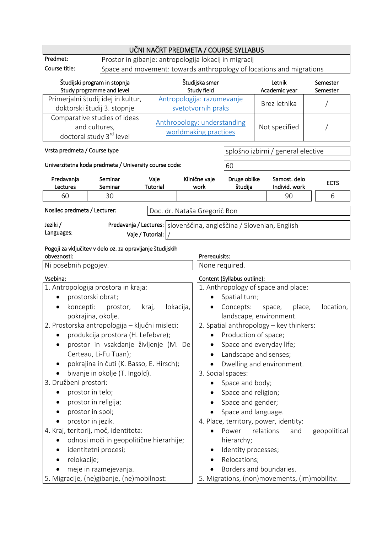|                                                                                                                                                                                                               |                                                                                                                                                                                                | UČNI NAČRT PREDMETA / COURSE SYLLABUS                                |                                      |                                                                                                                               |                                                                                                                                                                                                                        |                      |
|---------------------------------------------------------------------------------------------------------------------------------------------------------------------------------------------------------------|------------------------------------------------------------------------------------------------------------------------------------------------------------------------------------------------|----------------------------------------------------------------------|--------------------------------------|-------------------------------------------------------------------------------------------------------------------------------|------------------------------------------------------------------------------------------------------------------------------------------------------------------------------------------------------------------------|----------------------|
| Predmet:                                                                                                                                                                                                      |                                                                                                                                                                                                | Prostor in gibanje: antropologija lokacij in migracij                |                                      |                                                                                                                               |                                                                                                                                                                                                                        |                      |
| Course title:                                                                                                                                                                                                 |                                                                                                                                                                                                | Space and movement: towards anthropology of locations and migrations |                                      |                                                                                                                               |                                                                                                                                                                                                                        |                      |
| Študijski program in stopnja<br>Study programme and level                                                                                                                                                     |                                                                                                                                                                                                |                                                                      | Študijska smer<br><b>Study field</b> |                                                                                                                               | Letnik<br>Academic year                                                                                                                                                                                                | Semester<br>Semester |
| Primerjalni študij idej in kultur,<br>doktorski študij 3. stopnje                                                                                                                                             |                                                                                                                                                                                                | Antropologija: razumevanje<br>svetotvornih praks                     |                                      |                                                                                                                               | Brez letnika                                                                                                                                                                                                           |                      |
| Comparative studies of ideas<br>and cultures,<br>doctoral study 3 <sup>rd</sup> level                                                                                                                         |                                                                                                                                                                                                | Anthropology: understanding<br>worldmaking practices                 |                                      |                                                                                                                               | Not specified                                                                                                                                                                                                          |                      |
| Vrsta predmeta / Course type                                                                                                                                                                                  |                                                                                                                                                                                                |                                                                      |                                      | splošno izbirni / general elective                                                                                            |                                                                                                                                                                                                                        |                      |
| Univerzitetna koda predmeta / University course code:                                                                                                                                                         |                                                                                                                                                                                                |                                                                      |                                      | 60                                                                                                                            |                                                                                                                                                                                                                        |                      |
| Predavanja<br>Lectures                                                                                                                                                                                        | Seminar<br>Seminar                                                                                                                                                                             | Vaje<br><b>Tutorial</b>                                              | Klinične vaje<br>work                | Druge oblike<br>študija                                                                                                       | Samost. delo<br>Individ. work                                                                                                                                                                                          | <b>ECTS</b>          |
| 60                                                                                                                                                                                                            | 30                                                                                                                                                                                             |                                                                      |                                      |                                                                                                                               | 90                                                                                                                                                                                                                     | 6                    |
| Nosilec predmeta / Lecturer:                                                                                                                                                                                  |                                                                                                                                                                                                | Doc. dr. Nataša Gregorič Bon                                         |                                      |                                                                                                                               |                                                                                                                                                                                                                        |                      |
| Jeziki /                                                                                                                                                                                                      |                                                                                                                                                                                                |                                                                      |                                      |                                                                                                                               | Predavanja / Lectures:   slovenščina, angleščina / Slovenian, English                                                                                                                                                  |                      |
| Languages:                                                                                                                                                                                                    |                                                                                                                                                                                                | Vaje / Tutorial:                                                     |                                      |                                                                                                                               |                                                                                                                                                                                                                        |                      |
| Pogoji za vključitev v delo oz. za opravljanje študijskih                                                                                                                                                     |                                                                                                                                                                                                |                                                                      |                                      |                                                                                                                               |                                                                                                                                                                                                                        |                      |
| obveznosti:<br>Ni posebnih pogojev.                                                                                                                                                                           |                                                                                                                                                                                                |                                                                      | Prerequisits:<br>None required.      |                                                                                                                               |                                                                                                                                                                                                                        |                      |
| Vsebina:                                                                                                                                                                                                      |                                                                                                                                                                                                |                                                                      |                                      | Content (Syllabus outline):                                                                                                   |                                                                                                                                                                                                                        |                      |
| 1. Antropologija prostora in kraja:<br>prostorski obrat;<br>koncepti:<br>$\bullet$<br>pokrajina, okolje.<br>2. Prostorska antropologija – ključni misleci:<br>3. Družbeni prostori:                           | prostor,<br>produkcija prostora (H. Lefebvre);<br>prostor in vsakdanje življenje (M. De<br>Certeau, Li-Fu Tuan);<br>pokrajina in čuti (K. Basso, E. Hirsch);<br>bivanje in okolje (T. Ingold). | kraj,<br>lokacija,                                                   | $\bullet$                            | Spatial turn;<br>Production of space;<br>3. Social spaces:<br>Space and body;                                                 | 1. Anthropology of space and place:<br>Concepts: space, place,<br>landscape, environment.<br>2. Spatial anthropology - key thinkers:<br>Space and everyday life;<br>Landscape and senses;<br>Dwelling and environment. | location,            |
| prostor in telo;<br>prostor in religija;<br>prostor in spol;<br>prostor in jezik.<br>4. Kraj, teritorij, moč, identiteta:<br>identitetni procesi;<br>relokacije;<br>5. Migracije, (ne)gibanje, (ne)mobilnost: | odnosi moči in geopolitične hierarhije;<br>meje in razmejevanja.                                                                                                                               |                                                                      |                                      | Space and religion;<br>Space and gender;<br>Space and language.<br>Power<br>hierarchy;<br>Identity processes;<br>Relocations; | 4. Place, territory, power, identity:<br>relations<br>and<br>Borders and boundaries.<br>5. Migrations, (non)movements, (im)mobility:                                                                                   | geopolitical         |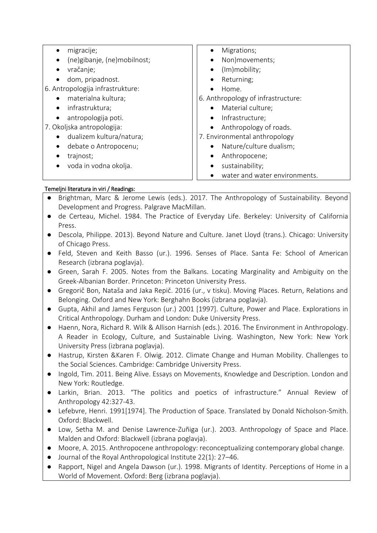| migracije;                               | Migrations;<br>$\bullet$                   |  |  |
|------------------------------------------|--------------------------------------------|--|--|
| (ne)gibanje, (ne)mobilnost;<br>$\bullet$ | Non)movements;<br>$\bullet$                |  |  |
| vračanje;                                | (Im)mobility;<br>$\bullet$                 |  |  |
| dom, pripadnost.                         | Returning;<br>$\bullet$                    |  |  |
| 6. Antropologija infrastrukture:         | Home.<br>$\bullet$                         |  |  |
| materialna kultura;                      | 6. Anthropology of infrastructure:         |  |  |
| infrastruktura;<br>$\bullet$             | Material culture;<br>$\bullet$             |  |  |
| antropologija poti.<br>$\bullet$         | Infrastructure;<br>$\bullet$               |  |  |
| 7. Okoljska antropologija:               | Anthropology of roads.<br>$\bullet$        |  |  |
| dualizem kultura/natura;                 | 7. Environmental anthropology              |  |  |
| debate o Antropocenu;<br>$\bullet$       | Nature/culture dualism;<br>$\bullet$       |  |  |
| trajnost;                                | Anthropocene;<br>$\bullet$                 |  |  |
| voda in vodna okolja.                    | sustainability;<br>$\bullet$               |  |  |
|                                          | water and water environments.<br>$\bullet$ |  |  |

## Temeljni literatura in viri / Readings:

- Brightman, Marc & Jerome Lewis (eds.). 2017. The Anthropology of Sustainability. Beyond Development and Progress. Palgrave MacMillan.
- de Certeau, Michel. 1984. The Practice of Everyday Life. Berkeley: University of California Press.
- Descola, Philippe. 2013). Beyond Nature and Culture. Janet Lloyd (trans.). Chicago: University of Chicago Press.
- Feld, Steven and Keith Basso (ur.). 1996. Senses of Place. Santa Fe: School of American Research (izbrana poglavja).
- Green, Sarah F. 2005. Notes from the Balkans. Locating Marginality and Ambiguity on the Greek-Albanian Border. Princeton: Princeton University Press.
- Gregorič Bon, Nataša and Jaka Repič. 2016 (ur., v tisku). Moving Places. Return, Relations and Belonging. Oxford and New York: Berghahn Books (izbrana poglavja).
- Gupta, Akhil and James Ferguson (ur.) 2001 [1997]. Culture, Power and Place. Explorations in Critical Anthropology. Durham and London: Duke University Press.
- Haenn, Nora, Richard R. Wilk & Allison Harnish (eds.). 2016. The Environment in Anthropology. A Reader in Ecology, Culture, and Sustainable Living. Washington, New York: New York University Press (izbrana poglavja).
- Hastrup, Kirsten &Karen F. Olwig. 2012. Climate Change and Human Mobility. Challenges to the Social Sciences. Cambridge: Cambridge University Press.
- Ingold, Tim. 2011. Being Alive. Essays on Movements, Knowledge and Description. London and New York: Routledge.
- Larkin, Brian. 2013. "The politics and poetics of infrastructure." Annual Review of Anthropology 42:327-43.
- Lefebvre, Henri. 1991[1974]. The Production of Space. Translated by Donald Nicholson-Smith. Oxford: Blackwell.
- Low, Setha M. and Denise Lawrence-Zuñiga (ur.). 2003. Anthropology of Space and Place. Malden and Oxford: Blackwell (izbrana poglavja).
- Moore, A. 2015. Anthropocene anthropology: reconceptualizing contemporary global change.
- Journal of the Royal Anthropological Institute 22(1): 27–46.
- Rapport, Nigel and Angela Dawson (ur.). 1998. Migrants of Identity. Perceptions of Home in a World of Movement. Oxford: Berg (izbrana poglavja).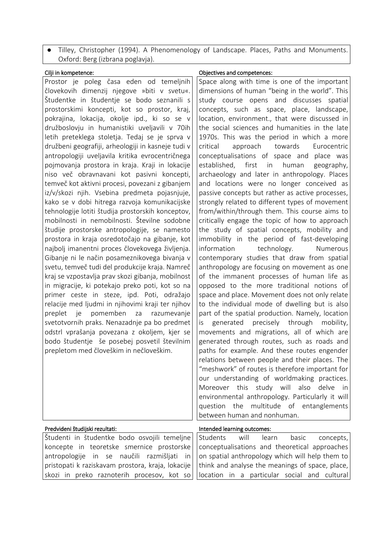● Tilley, Christopher (1994). A Phenomenology of Landscape. Places, Paths and Monuments. Oxford: Berg (izbrana poglavja).

| Cilji in kompetence: |
|----------------------|
|----------------------|

Prostor je poleg časa eden od temeljnih človekovih dimenzij njegove »biti v svetu«. Študentke in študentje se bodo seznanili s prostorskimi koncepti, kot so prostor, kraj, pokrajina, lokacija, okolje ipd., ki so se v družboslovju in humanistiki uveljavili v 70ih letih preteklega stoletja. Tedaj se je sprva v družbeni geografiji, arheologiji in kasneje tudi v antropologiji uveljavila kritika evrocentričnega pojmovanja prostora in kraja. Kraji in lokacije niso več obravnavani kot pasivni koncepti, temveč kot aktivni procesi, povezani z gibanjem iz/v/skozi njih. Vsebina predmeta pojasnjuje, kako se v dobi hitrega razvoja komunikacijske tehnologije lotiti študija prostorskih konceptov, mobilnosti in nemobilnosti. Številne sodobne študije prostorske antropologije, se namesto prostora in kraja osredotočajo na gibanje, kot najbolj imanentni proces človekovega življenja. Gibanje ni le način posameznikovega bivanja v svetu, temveč tudi del produkcije kraja. Namreč kraj se vzpostavlja prav skozi gibanja, mobilnost in migracije, ki potekajo preko poti, kot so na primer ceste in steze, ipd. Poti, odražajo relacije med ljudmi in njihovimi kraji ter njihov preplet je pomemben za razumevanje svetotvornih praks. Nenazadnje pa bo predmet odstrl vprašanja povezana z okoljem, kjer se bodo študentje še posebej posvetil številnim prepletom med človeškim in nečloveškim.

## Objectives and competences:

Space along with time is one of the important dimensions of human "being in the world". This study course opens and discusses spatial concepts, such as space, place, landscape, location, environment., that were discussed in the social sciences and humanities in the late 1970s. This was the period in which a more critical approach towards Eurocentric conceptualisations of space and place was established, first in human geography, archaeology and later in anthropology. Places and locations were no longer conceived as passive concepts but rather as active processes, strongly related to different types of movement from/within/through them. This course aims to critically engage the topic of how to approach the study of spatial concepts, mobility and immobility in the period of fast-developing information technology. Numerous contemporary studies that draw from spatial anthropology are focusing on movement as one of the immanent processes of human life as opposed to the more traditional notions of space and place. Movement does not only relate to the individual mode of dwelling but is also part of the spatial production. Namely, location is generated precisely through mobility, movements and migrations, all of which are generated through routes, such as roads and paths for example. And these routes engender relations between people and their places. The "meshwork" of routes is therefore important for our understanding of worldmaking practices. Moreover this study will also delve in environmental anthropology. Particularly it will question the multitude of entanglements between human and nonhuman.

| Predvideni študijski rezultati:                                    | Intended learning outcomes:                                                                             |
|--------------------------------------------------------------------|---------------------------------------------------------------------------------------------------------|
| Študenti in študentke bodo osvojili temeljne   Students will learn | basic<br>concepts,                                                                                      |
|                                                                    | $ k$ oncepte in teoretske smernice prostorske $ k\rangle$ conceptualisations and theoretical approaches |
|                                                                    | $ antropologije$ in se naučili razmišljati in   on spatial anthropology which will help them to         |
|                                                                    | pristopati k raziskavam prostora, kraja, lokacije     think and analyse the meanings of space, place,   |
|                                                                    | $ $ skozi in preko raznoterih procesov, kot so llocation in a particular social and cultural            |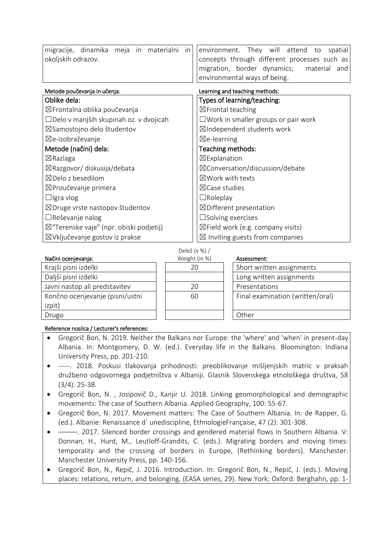| migracije, dinamika meja in materialni in          | environment. They will attend to<br>spatial   |  |  |
|----------------------------------------------------|-----------------------------------------------|--|--|
| okoljskih odrazov.                                 | concepts through different processes such as  |  |  |
|                                                    | migration, border dynamics; material and      |  |  |
|                                                    | environmental ways of being.                  |  |  |
| Metode poučevanja in učenja:                       | Learning and teaching methods:                |  |  |
| Oblike dela:                                       | Types of learning/teaching:                   |  |  |
| ⊠Frontalna oblika poučevanja                       | $\boxtimes$ Frontal teaching                  |  |  |
| $\Box$ Delo v manjših skupinah oz. v dvojicah      | $\square$ Work in smaller groups or pair work |  |  |
| ⊠Samostojno delo študentov                         | ⊠Independent students work                    |  |  |
| ⊠e-izobraževanje                                   | $\boxtimes$ e-learning                        |  |  |
| Metode (načini) dela:                              | Teaching methods:                             |  |  |
| $\boxtimes$ Razlaga                                | $\boxtimes$ Explanation                       |  |  |
| ⊠Razgovor/ diskusija/debata                        | $\boxtimes$ Conversation/discussion/debate    |  |  |
| $\boxtimes$ Delo z besedilom                       | $\boxtimes$ Work with texts                   |  |  |
| ⊠Proučevanje primera                               | $\boxtimes$ Case studies                      |  |  |
| $\Box$ Igra vlog                                   | $\Box$ Roleplay                               |  |  |
| $\boxtimes$ Druge vrste nastopov študentov         | $\boxtimes$ Different presentation            |  |  |
| $\Box$ Reševanje nalog                             | $\square$ Solving exercises                   |  |  |
| $\boxtimes$ "Terenske vaje" (npr. obiski podjetij) | $\boxtimes$ Field work (e.g. company visits)  |  |  |
| ⊠Vključevanje gostov iz prakse                     | $\boxtimes$ Inviting guests from companies    |  |  |

|                                 | DEIEZ (V $\frac{70}{70}$ |                                  |
|---------------------------------|--------------------------|----------------------------------|
| Načini ocenjevanja:             | Weight (in %)            | Assessment:                      |
| Krajši pisni izdelki            | 20                       | Short written assignments        |
| Daljši pisni izdelki            |                          | Long written assignments         |
| Javni nastop ali predstavitev   | 20                       | Presentations                    |
| Končno ocenjevanje (pisni/ustni | 60                       | Final examination (written/oral) |
| izpit)                          |                          |                                  |
| Drugo                           |                          | Other                            |

## Reference nosilca / Lecturer's references:

 Gregorič Bon, N. 2019. Neither the Balkans nor Europe: the 'where' and 'when' in present-day Albania. In: Montgomery, D. W. (ed.). Everyday life in the Balkans. Bloomington: Indiana University Press, pp. 201-210.

 $D = 1 - \frac{y}{x}$  (v  $0/1$ )

- -----. 2018. Poskusi tlakovanja prihodnosti: preoblikovanje mišljenjskih matric v praksah družbeno odgovornega podjetništva v Albaniji. Glasnik Slovenskega etnološkega društva, 58 (3/4): 25-38.
- Gregorič Bon, N. , Josipovič D., Kanjir U. 2018. Linking geomorphological and demographic movements: The case of Southern Albania. Applied Geography, 100: 55-67.
- Gregorič Bon, N. 2017. Movement matters: The Case of Southern Albania. In: de Rapper, G. (ed.). Albanie: Renaissance d´ unediscipline, EthnologieFrançaise, 47 (2): 301-308.
- –––––. 2017. Silenced border crossings and gendered material flows in Southern Albania. V: Donnan, H., Hurd, M., Leutloff-Grandits, C. (eds.). Migrating borders and moving times: temporality and the crossing of borders in Europe, (Rethinking borders). Manchester: Manchester University Press, pp. 140-156.
- Gregorič Bon, N., Repič, J. 2016. Introduction. In: Gregorič Bon, N., Repič, J. (eds.). Moving places: relations, return, and belonging, (EASA series, 29). New York; Oxford: Berghahn, pp. 1-